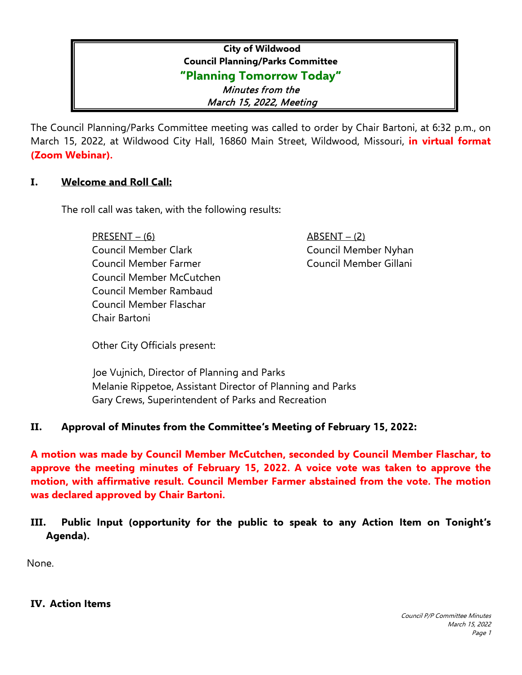# **City of Wildwood Council Planning/Parks Committee "Planning Tomorrow Today"** Minutes from the March 15, 2022, Meeting

The Council Planning/Parks Committee meeting was called to order by Chair Bartoni, at 6:32 p.m., on March 15, 2022, at Wildwood City Hall, 16860 Main Street, Wildwood, Missouri, **in virtual format (Zoom Webinar).**

### **I. Welcome and Roll Call:**

The roll call was taken, with the following results:

 PRESENT – (6) ABSENT – (2) Council Member Clark Council Member Nyhan Council Member Farmer Council Member Gillani Council Member McCutchen Council Member Rambaud Council Member Flaschar Chair Bartoni

Other City Officials present:

 Joe Vujnich, Director of Planning and Parks Melanie Rippetoe, Assistant Director of Planning and Parks Gary Crews, Superintendent of Parks and Recreation

# **II. Approval of Minutes from the Committee's Meeting of February 15, 2022:**

**A motion was made by Council Member McCutchen, seconded by Council Member Flaschar, to approve the meeting minutes of February 15, 2022. A voice vote was taken to approve the motion, with affirmative result. Council Member Farmer abstained from the vote. The motion was declared approved by Chair Bartoni.** 

**III. Public Input (opportunity for the public to speak to any Action Item on Tonight's Agenda).** 

None.

#### **IV. Action Items**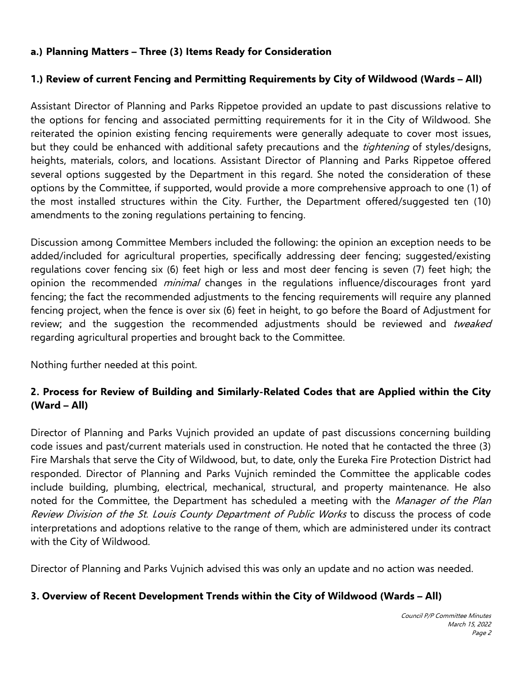# **a.) Planning Matters – Three (3) Items Ready for Consideration**

# **1.) Review of current Fencing and Permitting Requirements by City of Wildwood (Wards – All)**

Assistant Director of Planning and Parks Rippetoe provided an update to past discussions relative to the options for fencing and associated permitting requirements for it in the City of Wildwood. She reiterated the opinion existing fencing requirements were generally adequate to cover most issues, but they could be enhanced with additional safety precautions and the *tightening* of styles/designs, heights, materials, colors, and locations. Assistant Director of Planning and Parks Rippetoe offered several options suggested by the Department in this regard. She noted the consideration of these options by the Committee, if supported, would provide a more comprehensive approach to one (1) of the most installed structures within the City. Further, the Department offered/suggested ten (10) amendments to the zoning regulations pertaining to fencing.

Discussion among Committee Members included the following: the opinion an exception needs to be added/included for agricultural properties, specifically addressing deer fencing; suggested/existing regulations cover fencing six (6) feet high or less and most deer fencing is seven (7) feet high; the opinion the recommended *minimal* changes in the regulations influence/discourages front yard fencing; the fact the recommended adjustments to the fencing requirements will require any planned fencing project, when the fence is over six (6) feet in height, to go before the Board of Adjustment for review; and the suggestion the recommended adjustments should be reviewed and tweaked regarding agricultural properties and brought back to the Committee.

Nothing further needed at this point.

# **2. Process for Review of Building and Similarly-Related Codes that are Applied within the City (Ward – All)**

Director of Planning and Parks Vujnich provided an update of past discussions concerning building code issues and past/current materials used in construction. He noted that he contacted the three (3) Fire Marshals that serve the City of Wildwood, but, to date, only the Eureka Fire Protection District had responded. Director of Planning and Parks Vujnich reminded the Committee the applicable codes include building, plumbing, electrical, mechanical, structural, and property maintenance. He also noted for the Committee, the Department has scheduled a meeting with the Manager of the Plan Review Division of the St. Louis County Department of Public Works to discuss the process of code interpretations and adoptions relative to the range of them, which are administered under its contract with the City of Wildwood.

Director of Planning and Parks Vujnich advised this was only an update and no action was needed.

#### **3. Overview of Recent Development Trends within the City of Wildwood (Wards – All)**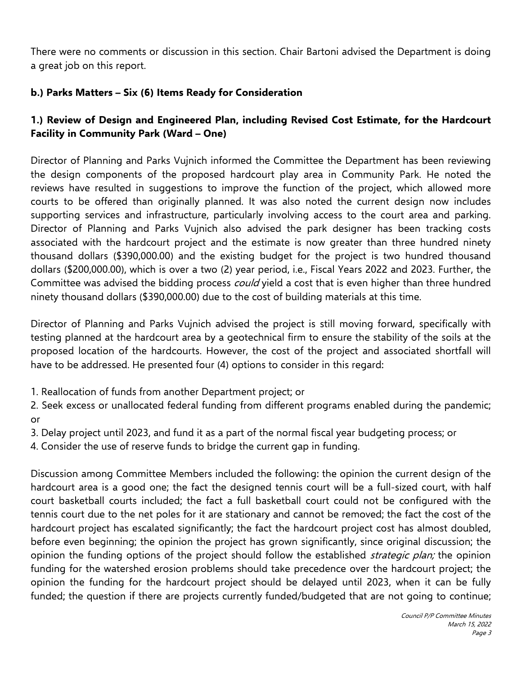There were no comments or discussion in this section. Chair Bartoni advised the Department is doing a great job on this report.

# **b.) Parks Matters – Six (6) Items Ready for Consideration**

# **1.) Review of Design and Engineered Plan, including Revised Cost Estimate, for the Hardcourt Facility in Community Park (Ward – One)**

Director of Planning and Parks Vujnich informed the Committee the Department has been reviewing the design components of the proposed hardcourt play area in Community Park. He noted the reviews have resulted in suggestions to improve the function of the project, which allowed more courts to be offered than originally planned. It was also noted the current design now includes supporting services and infrastructure, particularly involving access to the court area and parking. Director of Planning and Parks Vujnich also advised the park designer has been tracking costs associated with the hardcourt project and the estimate is now greater than three hundred ninety thousand dollars (\$390,000.00) and the existing budget for the project is two hundred thousand dollars (\$200,000.00), which is over a two (2) year period, i.e., Fiscal Years 2022 and 2023. Further, the Committee was advised the bidding process *could* yield a cost that is even higher than three hundred ninety thousand dollars (\$390,000.00) due to the cost of building materials at this time.

Director of Planning and Parks Vujnich advised the project is still moving forward, specifically with testing planned at the hardcourt area by a geotechnical firm to ensure the stability of the soils at the proposed location of the hardcourts. However, the cost of the project and associated shortfall will have to be addressed. He presented four (4) options to consider in this regard:

1. Reallocation of funds from another Department project; or

2. Seek excess or unallocated federal funding from different programs enabled during the pandemic; or

3. Delay project until 2023, and fund it as a part of the normal fiscal year budgeting process; or

4. Consider the use of reserve funds to bridge the current gap in funding.

Discussion among Committee Members included the following: the opinion the current design of the hardcourt area is a good one; the fact the designed tennis court will be a full-sized court, with half court basketball courts included; the fact a full basketball court could not be configured with the tennis court due to the net poles for it are stationary and cannot be removed; the fact the cost of the hardcourt project has escalated significantly; the fact the hardcourt project cost has almost doubled, before even beginning; the opinion the project has grown significantly, since original discussion; the opinion the funding options of the project should follow the established *strategic plan;* the opinion funding for the watershed erosion problems should take precedence over the hardcourt project; the opinion the funding for the hardcourt project should be delayed until 2023, when it can be fully funded; the question if there are projects currently funded/budgeted that are not going to continue;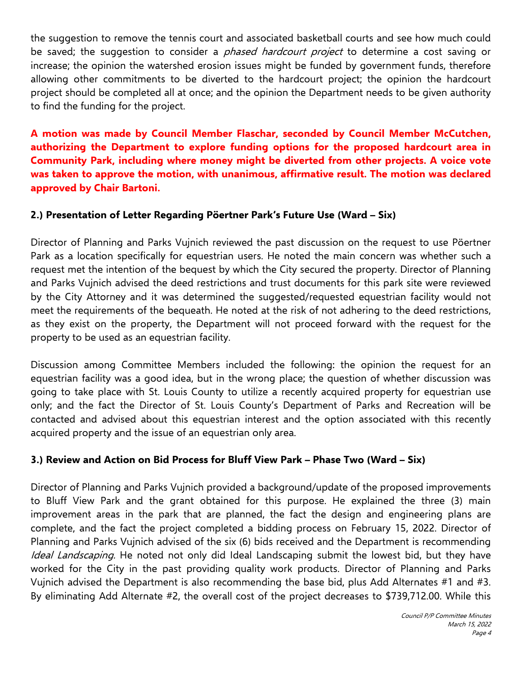the suggestion to remove the tennis court and associated basketball courts and see how much could be saved; the suggestion to consider a *phased hardcourt project* to determine a cost saving or increase; the opinion the watershed erosion issues might be funded by government funds, therefore allowing other commitments to be diverted to the hardcourt project; the opinion the hardcourt project should be completed all at once; and the opinion the Department needs to be given authority to find the funding for the project.

**A motion was made by Council Member Flaschar, seconded by Council Member McCutchen, authorizing the Department to explore funding options for the proposed hardcourt area in Community Park, including where money might be diverted from other projects. A voice vote was taken to approve the motion, with unanimous, affirmative result. The motion was declared approved by Chair Bartoni.**

### **2.) Presentation of Letter Regarding Pöertner Park's Future Use (Ward – Six)**

Director of Planning and Parks Vujnich reviewed the past discussion on the request to use Pöertner Park as a location specifically for equestrian users. He noted the main concern was whether such a request met the intention of the bequest by which the City secured the property. Director of Planning and Parks Vujnich advised the deed restrictions and trust documents for this park site were reviewed by the City Attorney and it was determined the suggested/requested equestrian facility would not meet the requirements of the bequeath. He noted at the risk of not adhering to the deed restrictions, as they exist on the property, the Department will not proceed forward with the request for the property to be used as an equestrian facility.

Discussion among Committee Members included the following: the opinion the request for an equestrian facility was a good idea, but in the wrong place; the question of whether discussion was going to take place with St. Louis County to utilize a recently acquired property for equestrian use only; and the fact the Director of St. Louis County's Department of Parks and Recreation will be contacted and advised about this equestrian interest and the option associated with this recently acquired property and the issue of an equestrian only area.

# **3.) Review and Action on Bid Process for Bluff View Park – Phase Two (Ward – Six)**

Director of Planning and Parks Vujnich provided a background/update of the proposed improvements to Bluff View Park and the grant obtained for this purpose. He explained the three (3) main improvement areas in the park that are planned, the fact the design and engineering plans are complete, and the fact the project completed a bidding process on February 15, 2022. Director of Planning and Parks Vujnich advised of the six (6) bids received and the Department is recommending Ideal Landscaping. He noted not only did Ideal Landscaping submit the lowest bid, but they have worked for the City in the past providing quality work products. Director of Planning and Parks Vujnich advised the Department is also recommending the base bid, plus Add Alternates #1 and #3. By eliminating Add Alternate #2, the overall cost of the project decreases to \$739,712.00. While this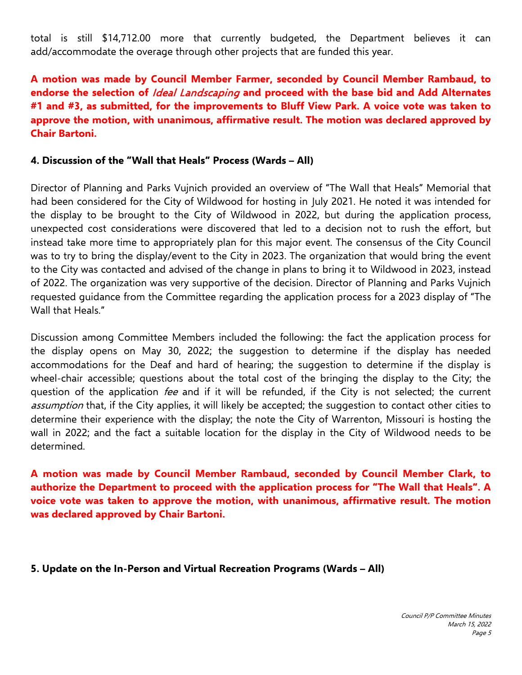total is still \$14,712.00 more that currently budgeted, the Department believes it can add/accommodate the overage through other projects that are funded this year.

**A motion was made by Council Member Farmer, seconded by Council Member Rambaud, to endorse the selection of** Ideal Landscaping **and proceed with the base bid and Add Alternates #1 and #3, as submitted, for the improvements to Bluff View Park. A voice vote was taken to approve the motion, with unanimous, affirmative result. The motion was declared approved by Chair Bartoni.**

#### **4. Discussion of the "Wall that Heals" Process (Wards – All)**

Director of Planning and Parks Vujnich provided an overview of "The Wall that Heals" Memorial that had been considered for the City of Wildwood for hosting in July 2021. He noted it was intended for the display to be brought to the City of Wildwood in 2022, but during the application process, unexpected cost considerations were discovered that led to a decision not to rush the effort, but instead take more time to appropriately plan for this major event. The consensus of the City Council was to try to bring the display/event to the City in 2023. The organization that would bring the event to the City was contacted and advised of the change in plans to bring it to Wildwood in 2023, instead of 2022. The organization was very supportive of the decision. Director of Planning and Parks Vujnich requested guidance from the Committee regarding the application process for a 2023 display of "The Wall that Heals."

Discussion among Committee Members included the following: the fact the application process for the display opens on May 30, 2022; the suggestion to determine if the display has needed accommodations for the Deaf and hard of hearing; the suggestion to determine if the display is wheel-chair accessible; questions about the total cost of the bringing the display to the City; the question of the application *fee* and if it will be refunded, if the City is not selected; the current assumption that, if the City applies, it will likely be accepted; the suggestion to contact other cities to determine their experience with the display; the note the City of Warrenton, Missouri is hosting the wall in 2022; and the fact a suitable location for the display in the City of Wildwood needs to be determined.

**A motion was made by Council Member Rambaud, seconded by Council Member Clark, to authorize the Department to proceed with the application process for "The Wall that Heals". A voice vote was taken to approve the motion, with unanimous, affirmative result. The motion was declared approved by Chair Bartoni.**

#### **5. Update on the In-Person and Virtual Recreation Programs (Wards – All)**